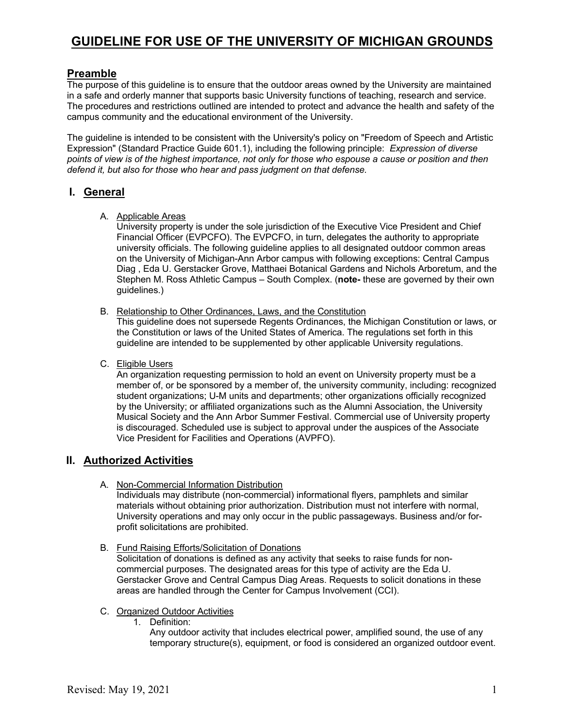## **Preamble**

The purpose of this guideline is to ensure that the outdoor areas owned by the University are maintained in a safe and orderly manner that supports basic University functions of teaching, research and service. The procedures and restrictions outlined are intended to protect and advance the health and safety of the campus community and the educational environment of the University.

The guideline is intended to be consistent with the University's policy on "Freedom of Speech and Artistic Expression" (Standard Practice Guide 601.1), including the following principle: *Expression of diverse points of view is of the highest importance, not only for those who espouse a cause or position and then defend it, but also for those who hear and pass judgment on that defense.* 

### **I. General**

A. Applicable Areas

University property is under the sole jurisdiction of the Executive Vice President and Chief Financial Officer (EVPCFO). The EVPCFO, in turn, delegates the authority to appropriate university officials. The following guideline applies to all designated outdoor common areas on the University of Michigan-Ann Arbor campus with following exceptions: Central Campus Diag , Eda U. Gerstacker Grove, Matthaei Botanical Gardens and Nichols Arboretum, and the Stephen M. Ross Athletic Campus – South Complex. (**note-** these are governed by their own guidelines.)

B. Relationship to Other Ordinances, Laws, and the Constitution

This guideline does not supersede Regents Ordinances, the Michigan Constitution or laws, or the Constitution or laws of the United States of America. The regulations set forth in this guideline are intended to be supplemented by other applicable University regulations.

C. Eligible Users

An organization requesting permission to hold an event on University property must be a member of, or be sponsored by a member of, the university community, including: recognized student organizations; U-M units and departments; other organizations officially recognized by the University; or affiliated organizations such as the Alumni Association, the University Musical Society and the Ann Arbor Summer Festival. Commercial use of University property is discouraged. Scheduled use is subject to approval under the auspices of the Associate Vice President for Facilities and Operations (AVPFO).

## **II. Authorized Activities**

- A. Non-Commercial Information Distribution Individuals may distribute (non-commercial) informational flyers, pamphlets and similar materials without obtaining prior authorization. Distribution must not interfere with normal, University operations and may only occur in the public passageways. Business and/or forprofit solicitations are prohibited.
- B. Fund Raising Efforts/Solicitation of Donations Solicitation of donations is defined as any activity that seeks to raise funds for noncommercial purposes. The designated areas for this type of activity are the Eda U. Gerstacker Grove and Central Campus Diag Areas. Requests to solicit donations in these areas are handled through the Center for Campus Involvement (CCI).
- C. Organized Outdoor Activities
	- 1. Definition:

Any outdoor activity that includes electrical power, amplified sound, the use of any temporary structure(s), equipment, or food is considered an organized outdoor event.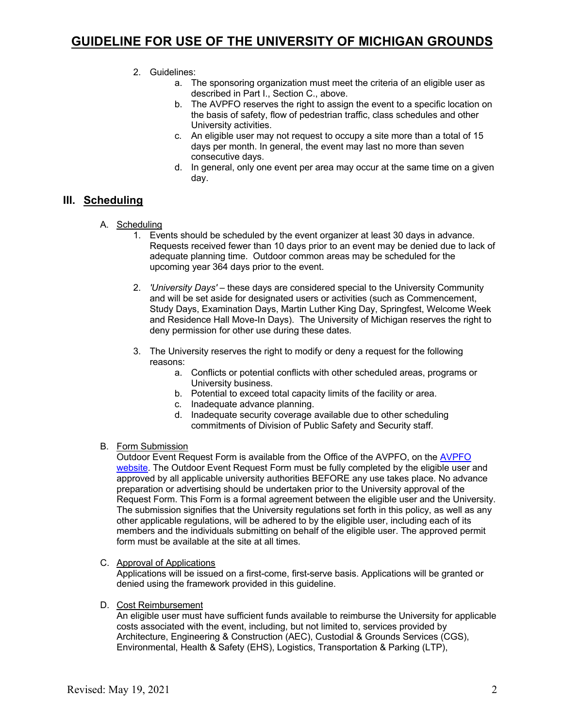#### 2. Guidelines:

- a. The sponsoring organization must meet the criteria of an eligible user as described in Part I., Section C., above.
- b. The AVPFO reserves the right to assign the event to a specific location on the basis of safety, flow of pedestrian traffic, class schedules and other University activities.
- c. An eligible user may not request to occupy a site more than a total of 15 days per month. In general, the event may last no more than seven consecutive days.
- d. In general, only one event per area may occur at the same time on a given day.

### **III. Scheduling**

- A. Scheduling
	- 1. Events should be scheduled by the event organizer at least 30 days in advance. Requests received fewer than 10 days prior to an event may be denied due to lack of adequate planning time. Outdoor common areas may be scheduled for the upcoming year 364 days prior to the event.
	- 2. *'University Days'*  these days are considered special to the University Community and will be set aside for designated users or activities (such as Commencement, Study Days, Examination Days, Martin Luther King Day, Springfest, Welcome Week and Residence Hall Move-In Days). The University of Michigan reserves the right to deny permission for other use during these dates.
	- 3. The University reserves the right to modify or deny a request for the following reasons:
		- a. Conflicts or potential conflicts with other scheduled areas, programs or University business.
		- b. Potential to exceed total capacity limits of the facility or area.
		- c. Inadequate advance planning.
		- d. Inadequate security coverage available due to other scheduling commitments of Division of Public Safety and Security staff.
- B. Form Submission

Outdoor Event Request Form is available from the Office of the AVPFO, on the AVPFO website. The Outdoor Event Request Form must be fully completed by the eligible user and approved by all applicable university authorities BEFORE any use takes place. No advance preparation or advertising should be undertaken prior to the University approval of the Request Form. This Form is a formal agreement between the eligible user and the University. The submission signifies that the University regulations set forth in this policy, as well as any other applicable regulations, will be adhered to by the eligible user, including each of its members and the individuals submitting on behalf of the eligible user. The approved permit form must be available at the site at all times.

C. Approval of Applications

Applications will be issued on a first-come, first-serve basis. Applications will be granted or denied using the framework provided in this guideline.

D. Cost Reimbursement

An eligible user must have sufficient funds available to reimburse the University for applicable costs associated with the event, including, but not limited to, services provided by Architecture, Engineering & Construction (AEC), Custodial & Grounds Services (CGS), Environmental, Health & Safety (EHS), Logistics, Transportation & Parking (LTP),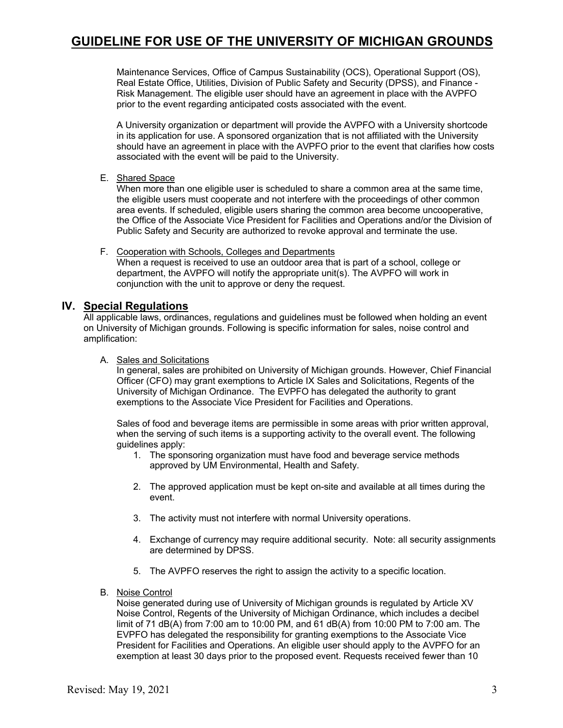Maintenance Services, Office of Campus Sustainability (OCS), Operational Support (OS), Real Estate Office, Utilities, Division of Public Safety and Security (DPSS), and Finance - Risk Management. The eligible user should have an agreement in place with the AVPFO prior to the event regarding anticipated costs associated with the event.

A University organization or department will provide the AVPFO with a University shortcode in its application for use. A sponsored organization that is not affiliated with the University should have an agreement in place with the AVPFO prior to the event that clarifies how costs associated with the event will be paid to the University.

E. Shared Space

When more than one eligible user is scheduled to share a common area at the same time, the eligible users must cooperate and not interfere with the proceedings of other common area events. If scheduled, eligible users sharing the common area become uncooperative, the Office of the Associate Vice President for Facilities and Operations and/or the Division of Public Safety and Security are authorized to revoke approval and terminate the use.

#### F. Cooperation with Schools, Colleges and Departments

When a request is received to use an outdoor area that is part of a school, college or department, the AVPFO will notify the appropriate unit(s). The AVPFO will work in conjunction with the unit to approve or deny the request.

### **IV. Special Regulations**

All applicable laws, ordinances, regulations and guidelines must be followed when holding an event on University of Michigan grounds. Following is specific information for sales, noise control and amplification:

#### A. Sales and Solicitations

In general, sales are prohibited on University of Michigan grounds. However, Chief Financial Officer (CFO) may grant exemptions to Article IX Sales and Solicitations, Regents of the University of Michigan Ordinance. The EVPFO has delegated the authority to grant exemptions to the Associate Vice President for Facilities and Operations.

Sales of food and beverage items are permissible in some areas with prior written approval, when the serving of such items is a supporting activity to the overall event. The following guidelines apply:

- 1. The sponsoring organization must have food and beverage service methods approved by UM Environmental, Health and Safety.
- 2. The approved application must be kept on-site and available at all times during the event.
- 3. The activity must not interfere with normal University operations.
- 4. Exchange of currency may require additional security. Note: all security assignments are determined by DPSS.
- 5. The AVPFO reserves the right to assign the activity to a specific location.
- B. Noise Control

Noise generated during use of University of Michigan grounds is regulated by Article XV Noise Control, Regents of the University of Michigan Ordinance, which includes a decibel limit of 71 dB(A) from 7:00 am to 10:00 PM, and 61 dB(A) from 10:00 PM to 7:00 am. The EVPFO has delegated the responsibility for granting exemptions to the Associate Vice President for Facilities and Operations. An eligible user should apply to the AVPFO for an exemption at least 30 days prior to the proposed event. Requests received fewer than 10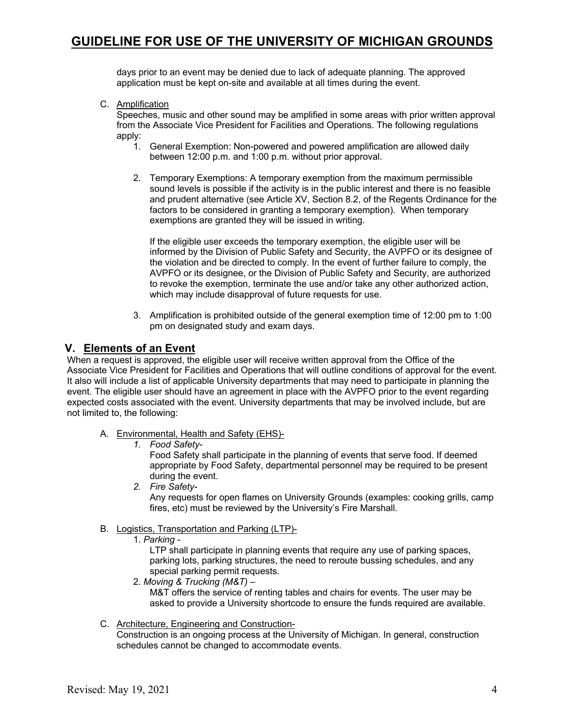days prior to an event may be denied due to lack of adequate planning. The approved application must be kept on-site and available at all times during the event.

C. Amplification

Speeches, music and other sound may be amplified in some areas with prior written approval from the Associate Vice President for Facilities and Operations. The following regulations apply:

- 1. General Exemption: Non-powered and powered amplification are allowed daily between 12:00 p.m. and 1:00 p.m. without prior approval.
- 2. Temporary Exemptions: A temporary exemption from the maximum permissible sound levels is possible if the activity is in the public interest and there is no feasible and prudent alternative (see Article XV, Section 8.2, of the Regents Ordinance for the factors to be considered in granting a temporary exemption). When temporary exemptions are granted they will be issued in writing.

If the eligible user exceeds the temporary exemption, the eligible user will be informed by the Division of Public Safety and Security, the AVPFO or its designee of the violation and be directed to comply. In the event of further failure to comply, the AVPFO or its designee, or the Division of Public Safety and Security, are authorized to revoke the exemption, terminate the use and/or take any other authorized action, which may include disapproval of future requests for use.

3. Amplification is prohibited outside of the general exemption time of 12:00 pm to 1:00 pm on designated study and exam days.

### **V. Elements of an Event**

When a request is approved, the eligible user will receive written approval from the Office of the Associate Vice President for Facilities and Operations that will outline conditions of approval for the event. It also will include a list of applicable University departments that may need to participate in planning the event. The eligible user should have an agreement in place with the AVPFO prior to the event regarding expected costs associated with the event. University departments that may be involved include, but are not limited to, the following:

- A. Environmental, Health and Safety (EHS)-
	- *1. Food Safety-*

Food Safety shall participate in the planning of events that serve food. If deemed appropriate by Food Safety, departmental personnel may be required to be present during the event.

*2. Fire Safety-*

Any requests for open flames on University Grounds (examples: cooking grills, camp fires, etc) must be reviewed by the University's Fire Marshall.

- B. Logistics, Transportation and Parking (LTP)-
	- 1. *Parking -*

LTP shall participate in planning events that require any use of parking spaces, parking lots, parking structures, the need to reroute bussing schedules, and any special parking permit requests.

- 2. *Moving & Trucking (M&T) –* M&T offers the service of renting tables and chairs for events. The user may be asked to provide a University shortcode to ensure the funds required are available.
- C. Architecture, Engineering and Construction-

Construction is an ongoing process at the University of Michigan. In general, construction schedules cannot be changed to accommodate events.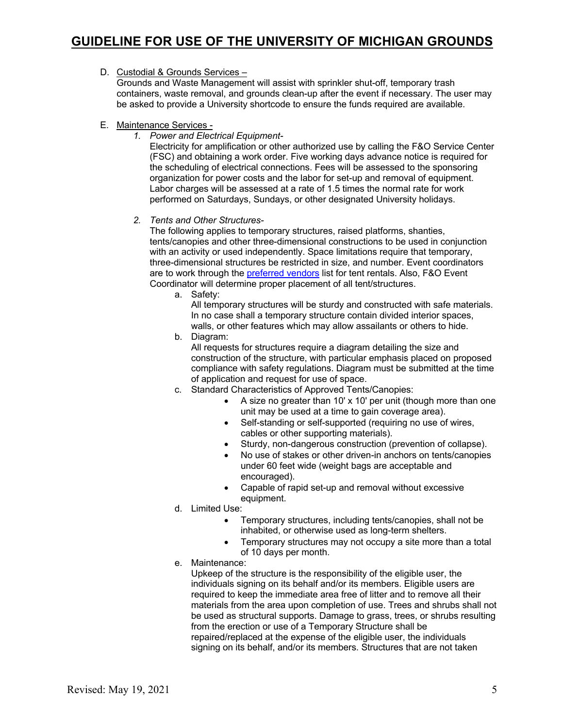### D. Custodial & Grounds Services -

Grounds and Waste Management will assist with sprinkler shut-off, temporary trash containers, waste removal, and grounds clean-up after the event if necessary. The user may be asked to provide a University shortcode to ensure the funds required are available.

- E. Maintenance Services
	- *1. Power and Electrical Equipment-*

Electricity for amplification or other authorized use by calling the F&O Service Center (FSC) and obtaining a work order. Five working days advance notice is required for the scheduling of electrical connections. Fees will be assessed to the sponsoring organization for power costs and the labor for set-up and removal of equipment. Labor charges will be assessed at a rate of 1.5 times the normal rate for work performed on Saturdays, Sundays, or other designated University holidays.

#### *2. Tents and Other Structures-*

The following applies to temporary structures, raised platforms, shanties, tents/canopies and other three-dimensional constructions to be used in conjunction with an activity or used independently. Space limitations require that temporary, three-dimensional structures be restricted in size, and number. Event coordinators are to work through the preferred vendors list for tent rentals. Also, F&O Event Coordinator will determine proper placement of all tent/structures.

a. Safety:

All temporary structures will be sturdy and constructed with safe materials. In no case shall a temporary structure contain divided interior spaces, walls, or other features which may allow assailants or others to hide.

b. Diagram:

All requests for structures require a diagram detailing the size and construction of the structure, with particular emphasis placed on proposed compliance with safety regulations. Diagram must be submitted at the time of application and request for use of space.

- c. Standard Characteristics of Approved Tents/Canopies:
	- A size no greater than 10' x 10' per unit (though more than one unit may be used at a time to gain coverage area).
	- Self-standing or self-supported (requiring no use of wires, cables or other supporting materials).
	- Sturdy, non-dangerous construction (prevention of collapse).
	- No use of stakes or other driven-in anchors on tents/canopies under 60 feet wide (weight bags are acceptable and encouraged).
	- Capable of rapid set-up and removal without excessive equipment.
- d. Limited Use:
	- Temporary structures, including tents/canopies, shall not be inhabited, or otherwise used as long-term shelters.
	- Temporary structures may not occupy a site more than a total of 10 days per month.
- e. Maintenance:

Upkeep of the structure is the responsibility of the eligible user, the individuals signing on its behalf and/or its members. Eligible users are required to keep the immediate area free of litter and to remove all their materials from the area upon completion of use. Trees and shrubs shall not be used as structural supports. Damage to grass, trees, or shrubs resulting from the erection or use of a Temporary Structure shall be repaired/replaced at the expense of the eligible user, the individuals signing on its behalf, and/or its members. Structures that are not taken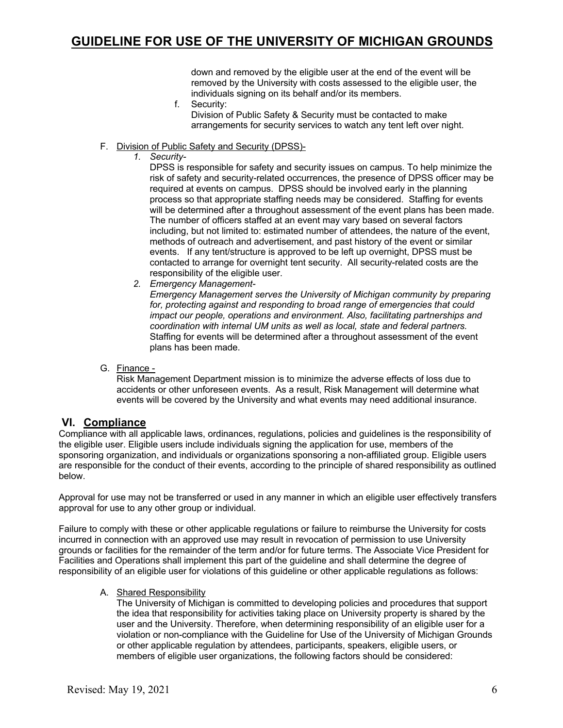down and removed by the eligible user at the end of the event will be removed by the University with costs assessed to the eligible user, the individuals signing on its behalf and/or its members.

f. Security:

Division of Public Safety & Security must be contacted to make arrangements for security services to watch any tent left over night.

- F. Division of Public Safety and Security (DPSS)-
	- *1. Security-*

DPSS is responsible for safety and security issues on campus. To help minimize the risk of safety and security-related occurrences, the presence of DPSS officer may be required at events on campus. DPSS should be involved early in the planning process so that appropriate staffing needs may be considered. Staffing for events will be determined after a throughout assessment of the event plans has been made. The number of officers staffed at an event may vary based on several factors including, but not limited to: estimated number of attendees, the nature of the event, methods of outreach and advertisement, and past history of the event or similar events. If any tent/structure is approved to be left up overnight, DPSS must be contacted to arrange for overnight tent security. All security-related costs are the responsibility of the eligible user.

*2. Emergency Management-*

*Emergency Management serves the University of Michigan community by preparing for, protecting against and responding to broad range of emergencies that could impact our people, operations and environment. Also, facilitating partnerships and coordination with internal UM units as well as local, state and federal partners.*  Staffing for events will be determined after a throughout assessment of the event plans has been made.

G. Finance -

Risk Management Department mission is to minimize the adverse effects of loss due to accidents or other unforeseen events. As a result, Risk Management will determine what events will be covered by the University and what events may need additional insurance.

### **VI. Compliance**

Compliance with all applicable laws, ordinances, regulations, policies and guidelines is the responsibility of the eligible user. Eligible users include individuals signing the application for use, members of the sponsoring organization, and individuals or organizations sponsoring a non-affiliated group. Eligible users are responsible for the conduct of their events, according to the principle of shared responsibility as outlined below.

Approval for use may not be transferred or used in any manner in which an eligible user effectively transfers approval for use to any other group or individual.

Failure to comply with these or other applicable regulations or failure to reimburse the University for costs incurred in connection with an approved use may result in revocation of permission to use University grounds or facilities for the remainder of the term and/or for future terms. The Associate Vice President for Facilities and Operations shall implement this part of the guideline and shall determine the degree of responsibility of an eligible user for violations of this guideline or other applicable regulations as follows:

#### A. Shared Responsibility

The University of Michigan is committed to developing policies and procedures that support the idea that responsibility for activities taking place on University property is shared by the user and the University. Therefore, when determining responsibility of an eligible user for a violation or non-compliance with the Guideline for Use of the University of Michigan Grounds or other applicable regulation by attendees, participants, speakers, eligible users, or members of eligible user organizations, the following factors should be considered: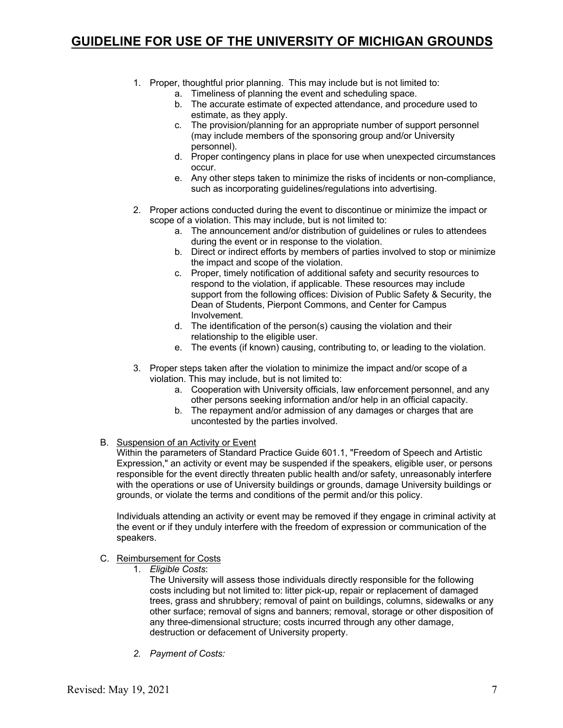- 1. Proper, thoughtful prior planning. This may include but is not limited to:
	- a. Timeliness of planning the event and scheduling space.
	- b. The accurate estimate of expected attendance, and procedure used to estimate, as they apply.
	- c. The provision/planning for an appropriate number of support personnel (may include members of the sponsoring group and/or University personnel).
	- d. Proper contingency plans in place for use when unexpected circumstances occur.
	- e. Any other steps taken to minimize the risks of incidents or non-compliance, such as incorporating guidelines/regulations into advertising.
- 2. Proper actions conducted during the event to discontinue or minimize the impact or scope of a violation. This may include, but is not limited to:
	- a. The announcement and/or distribution of guidelines or rules to attendees during the event or in response to the violation.
	- b. Direct or indirect efforts by members of parties involved to stop or minimize the impact and scope of the violation.
	- c. Proper, timely notification of additional safety and security resources to respond to the violation, if applicable. These resources may include support from the following offices: Division of Public Safety & Security, the Dean of Students, Pierpont Commons, and Center for Campus Involvement.
	- d. The identification of the person(s) causing the violation and their relationship to the eligible user.
	- e. The events (if known) causing, contributing to, or leading to the violation.
- 3. Proper steps taken after the violation to minimize the impact and/or scope of a violation. This may include, but is not limited to:
	- a. Cooperation with University officials, law enforcement personnel, and any other persons seeking information and/or help in an official capacity.
	- b. The repayment and/or admission of any damages or charges that are uncontested by the parties involved.
- B. Suspension of an Activity or Event

Within the parameters of Standard Practice Guide 601.1, "Freedom of Speech and Artistic Expression," an activity or event may be suspended if the speakers, eligible user, or persons responsible for the event directly threaten public health and/or safety, unreasonably interfere with the operations or use of University buildings or grounds, damage University buildings or grounds, or violate the terms and conditions of the permit and/or this policy.

Individuals attending an activity or event may be removed if they engage in criminal activity at the event or if they unduly interfere with the freedom of expression or communication of the speakers.

- C. Reimbursement for Costs
	- 1. *Eligible Costs*:

The University will assess those individuals directly responsible for the following costs including but not limited to: litter pick-up, repair or replacement of damaged trees, grass and shrubbery; removal of paint on buildings, columns, sidewalks or any other surface; removal of signs and banners; removal, storage or other disposition of any three-dimensional structure; costs incurred through any other damage, destruction or defacement of University property.

*2. Payment of Costs:*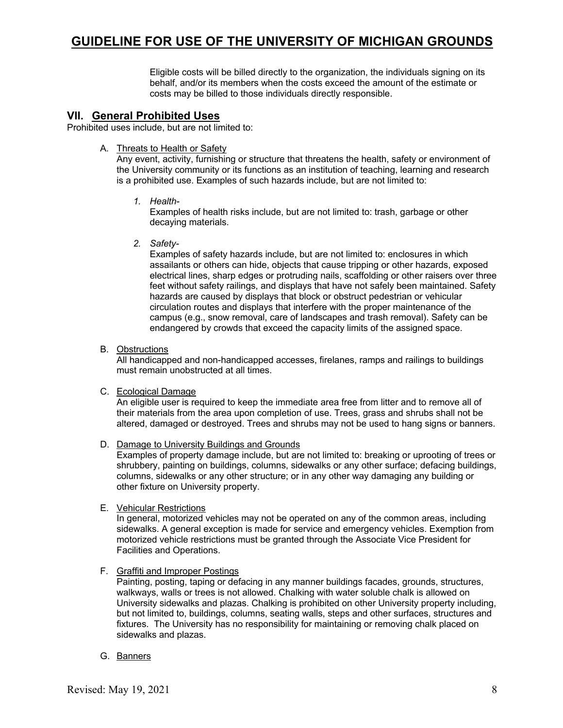Eligible costs will be billed directly to the organization, the individuals signing on its behalf, and/or its members when the costs exceed the amount of the estimate or costs may be billed to those individuals directly responsible.

### **VII. General Prohibited Uses**

Prohibited uses include, but are not limited to:

A. Threats to Health or Safety

Any event, activity, furnishing or structure that threatens the health, safety or environment of the University community or its functions as an institution of teaching, learning and research is a prohibited use. Examples of such hazards include, but are not limited to:

*1. Health-*

Examples of health risks include, but are not limited to: trash, garbage or other decaying materials.

*2. Safety-*

Examples of safety hazards include, but are not limited to: enclosures in which assailants or others can hide, objects that cause tripping or other hazards, exposed electrical lines, sharp edges or protruding nails, scaffolding or other raisers over three feet without safety railings, and displays that have not safely been maintained. Safety hazards are caused by displays that block or obstruct pedestrian or vehicular circulation routes and displays that interfere with the proper maintenance of the campus (e.g., snow removal, care of landscapes and trash removal). Safety can be endangered by crowds that exceed the capacity limits of the assigned space.

#### B. Obstructions

All handicapped and non-handicapped accesses, firelanes, ramps and railings to buildings must remain unobstructed at all times.

#### C. Ecological Damage

An eligible user is required to keep the immediate area free from litter and to remove all of their materials from the area upon completion of use. Trees, grass and shrubs shall not be altered, damaged or destroyed. Trees and shrubs may not be used to hang signs or banners.

#### D. Damage to University Buildings and Grounds

Examples of property damage include, but are not limited to: breaking or uprooting of trees or shrubbery, painting on buildings, columns, sidewalks or any other surface; defacing buildings, columns, sidewalks or any other structure; or in any other way damaging any building or other fixture on University property.

#### E. Vehicular Restrictions

In general, motorized vehicles may not be operated on any of the common areas, including sidewalks. A general exception is made for service and emergency vehicles. Exemption from motorized vehicle restrictions must be granted through the Associate Vice President for Facilities and Operations.

F. Graffiti and Improper Postings

Painting, posting, taping or defacing in any manner buildings facades, grounds, structures, walkways, walls or trees is not allowed. Chalking with water soluble chalk is allowed on University sidewalks and plazas. Chalking is prohibited on other University property including, but not limited to, buildings, columns, seating walls, steps and other surfaces, structures and fixtures. The University has no responsibility for maintaining or removing chalk placed on sidewalks and plazas.

#### G. Banners